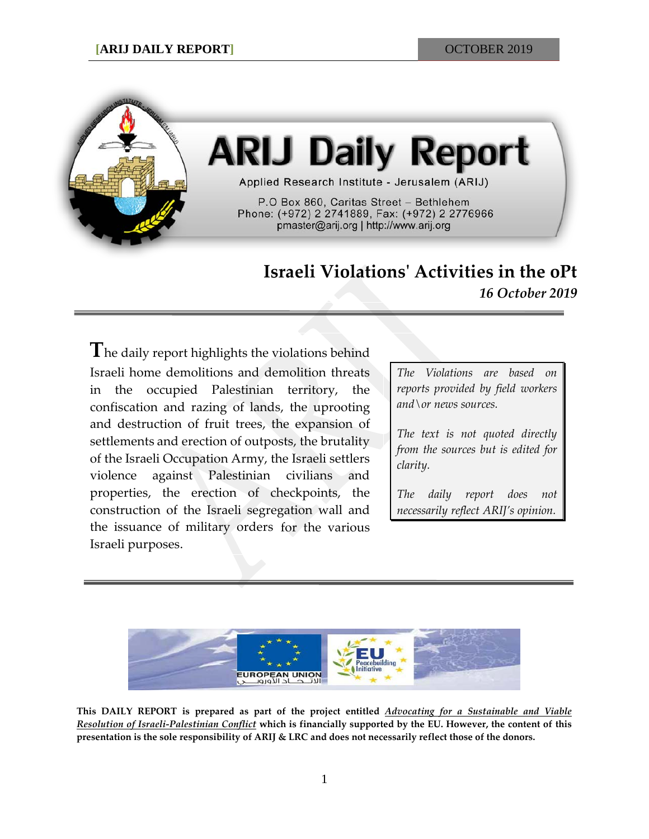

# **ARIJ Daily Report**

Applied Research Institute - Jerusalem (ARIJ)

P.O Box 860, Caritas Street - Bethlehem Phone: (+972) 2 2741889, Fax: (+972) 2 2776966 pmaster@arij.org | http://www.arij.org

# **Israeli Violations' Activities in the oPt** *16 October 2019*

**T**he daily report highlights the violations behind Israeli home demolitions and demolition threats in the occupied Palestinian territory, the confiscation and razing of lands, the uprooting and destruction of fruit trees, the expansion of settlements and erection of outposts, the brutality of the Israeli Occupation Army, the Israeli settlers violence against Palestinian civilians and properties, the erection of checkpoints, the construction of the Israeli segregation wall and the issuance of military orders for the various Israeli purposes.

*The Violations are based on reports provided by field workers and\or news sources.*

*The text is not quoted directly from the sources but is edited for clarity.*

*The daily report does not necessarily reflect ARIJ's opinion.*



**This DAILY REPORT is prepared as part of the project entitled** *Advocating for a Sustainable and Viable Resolution of Israeli-Palestinian Conflict* **which is financially supported by the EU. However, the content of this presentation is the sole responsibility of ARIJ & LRC and does not necessarily reflect those of the donors.**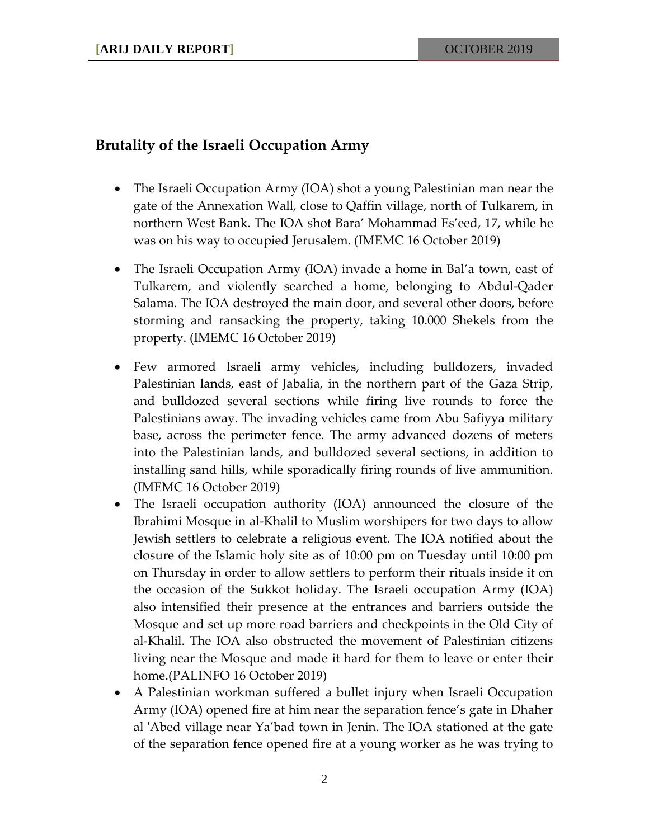### **Brutality of the Israeli Occupation Army**

- The Israeli Occupation Army (IOA) shot a young Palestinian man near the gate of the Annexation Wall, close to Qaffin village, north of Tulkarem, in northern West Bank. The IOA shot Bara' Mohammad Es'eed, 17, while he was on his way to occupied Jerusalem. (IMEMC 16 October 2019)
- The Israeli Occupation Army (IOA) invade a home in Bal'a town, east of Tulkarem, and violently searched a home, belonging to Abdul-Qader Salama. The IOA destroyed the main door, and several other doors, before storming and ransacking the property, taking 10.000 Shekels from the property. (IMEMC 16 October 2019)
- Few armored Israeli army vehicles, including bulldozers, invaded Palestinian lands, east of Jabalia, in the northern part of the Gaza Strip, and bulldozed several sections while firing live rounds to force the Palestinians away. The invading vehicles came from Abu Safiyya military base, across the perimeter fence. The army advanced dozens of meters into the Palestinian lands, and bulldozed several sections, in addition to installing sand hills, while sporadically firing rounds of live ammunition. (IMEMC 16 October 2019)
- The Israeli occupation authority (IOA) announced the closure of the Ibrahimi Mosque in al-Khalil to Muslim worshipers for two days to allow Jewish settlers to celebrate a religious event. The IOA notified about the closure of the Islamic holy site as of 10:00 pm on Tuesday until 10:00 pm on Thursday in order to allow settlers to perform their rituals inside it on the occasion of the Sukkot holiday. The Israeli occupation Army (IOA) also intensified their presence at the entrances and barriers outside the Mosque and set up more road barriers and checkpoints in the Old City of al-Khalil. The IOA also obstructed the movement of Palestinian citizens living near the Mosque and made it hard for them to leave or enter their home.(PALINFO 16 October 2019)
- A Palestinian workman suffered a bullet injury when Israeli Occupation Army (IOA) opened fire at him near the separation fence's gate in Dhaher al 'Abed village near Ya'bad town in Jenin. The IOA stationed at the gate of the separation fence opened fire at a young worker as he was trying to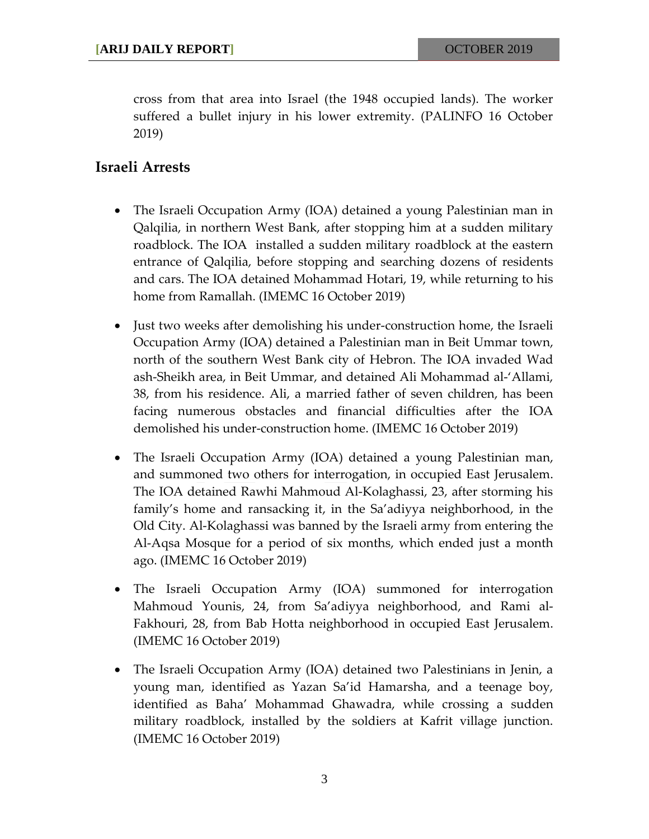cross from that area into Israel (the 1948 occupied lands). The worker suffered a bullet injury in his lower extremity. (PALINFO 16 October 2019)

## **Israeli Arrests**

- The Israeli Occupation Army (IOA) detained a young Palestinian man in Qalqilia, in northern West Bank, after stopping him at a sudden military roadblock. The IOA installed a sudden military roadblock at the eastern entrance of Qalqilia, before stopping and searching dozens of residents and cars. The IOA detained Mohammad Hotari, 19, while returning to his home from Ramallah. (IMEMC 16 October 2019)
- Just two weeks after demolishing his under-construction home, the Israeli Occupation Army (IOA) detained a Palestinian man in Beit Ummar town, north of the southern West Bank city of Hebron. The IOA invaded Wad ash-Sheikh area, in Beit Ummar, and detained Ali Mohammad al-'Allami, 38, from his residence. Ali, a married father of seven children, has been facing numerous obstacles and financial difficulties after the IOA demolished his under-construction home. (IMEMC 16 October 2019)
- The Israeli Occupation Army (IOA) detained a young Palestinian man, and summoned two others for interrogation, in occupied East Jerusalem. The IOA detained Rawhi Mahmoud Al-Kolaghassi, 23, after storming his family's home and ransacking it, in the Sa'adiyya neighborhood, in the Old City. Al-Kolaghassi was banned by the Israeli army from entering the Al-Aqsa Mosque for a period of six months, which ended just a month ago. (IMEMC 16 October 2019)
- The Israeli Occupation Army (IOA) summoned for interrogation Mahmoud Younis, 24, from Sa'adiyya neighborhood, and Rami al-Fakhouri, 28, from Bab Hotta neighborhood in occupied East Jerusalem. (IMEMC 16 October 2019)
- The Israeli Occupation Army (IOA) detained two Palestinians in Jenin, a young man, identified as Yazan Sa'id Hamarsha, and a teenage boy, identified as Baha' Mohammad Ghawadra, while crossing a sudden military roadblock, installed by the soldiers at Kafrit village junction. (IMEMC 16 October 2019)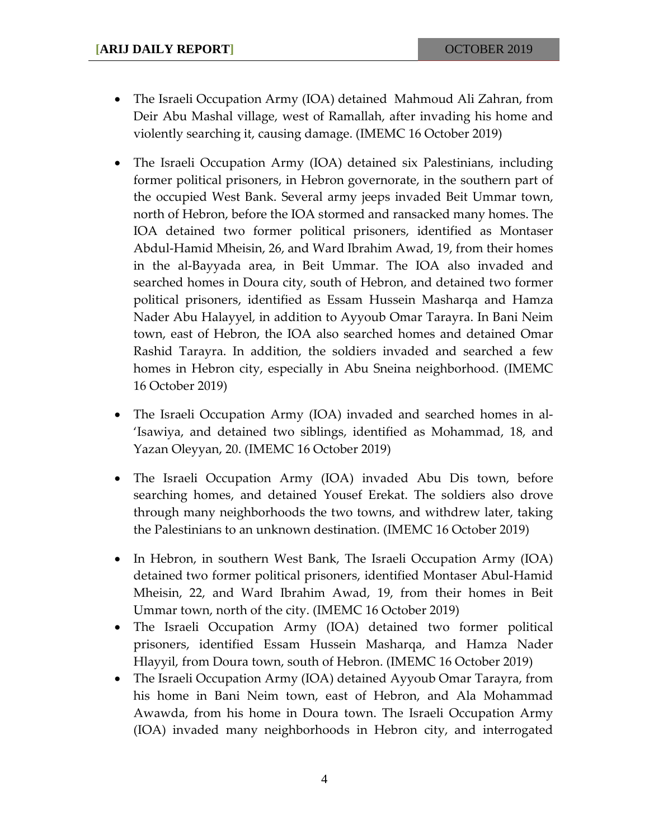- The Israeli Occupation Army (IOA) detained Mahmoud Ali Zahran, from Deir Abu Mashal village, west of Ramallah, after invading his home and violently searching it, causing damage. (IMEMC 16 October 2019)
- The Israeli Occupation Army (IOA) detained six Palestinians, including former political prisoners, in Hebron governorate, in the southern part of the occupied West Bank. Several army jeeps invaded Beit Ummar town, north of Hebron, before the IOA stormed and ransacked many homes. The IOA detained two former political prisoners, identified as Montaser Abdul-Hamid Mheisin, 26, and Ward Ibrahim Awad, 19, from their homes in the al-Bayyada area, in Beit Ummar. The IOA also invaded and searched homes in Doura city, south of Hebron, and detained two former political prisoners, identified as Essam Hussein Masharqa and Hamza Nader Abu Halayyel, in addition to Ayyoub Omar Tarayra. In Bani Neim town, east of Hebron, the IOA also searched homes and detained Omar Rashid Tarayra. In addition, the soldiers invaded and searched a few homes in Hebron city, especially in Abu Sneina neighborhood. (IMEMC 16 October 2019)
- The Israeli Occupation Army (IOA) invaded and searched homes in al- 'Isawiya, and detained two siblings, identified as Mohammad, 18, and Yazan Oleyyan, 20. (IMEMC 16 October 2019)
- The Israeli Occupation Army (IOA) invaded Abu Dis town, before searching homes, and detained Yousef Erekat. The soldiers also drove through many neighborhoods the two towns, and withdrew later, taking the Palestinians to an unknown destination. (IMEMC 16 October 2019)
- In Hebron, in southern West Bank, The Israeli Occupation Army (IOA) detained two former political prisoners, identified Montaser Abul-Hamid Mheisin, 22, and Ward Ibrahim Awad, 19, from their homes in Beit Ummar town, north of the city. (IMEMC 16 October 2019)
- The Israeli Occupation Army (IOA) detained two former political prisoners, identified Essam Hussein Masharqa, and Hamza Nader Hlayyil, from Doura town, south of Hebron. (IMEMC 16 October 2019)
- The Israeli Occupation Army (IOA) detained Ayyoub Omar Tarayra, from his home in Bani Neim town, east of Hebron, and Ala Mohammad Awawda, from his home in Doura town. The Israeli Occupation Army (IOA) invaded many neighborhoods in Hebron city, and interrogated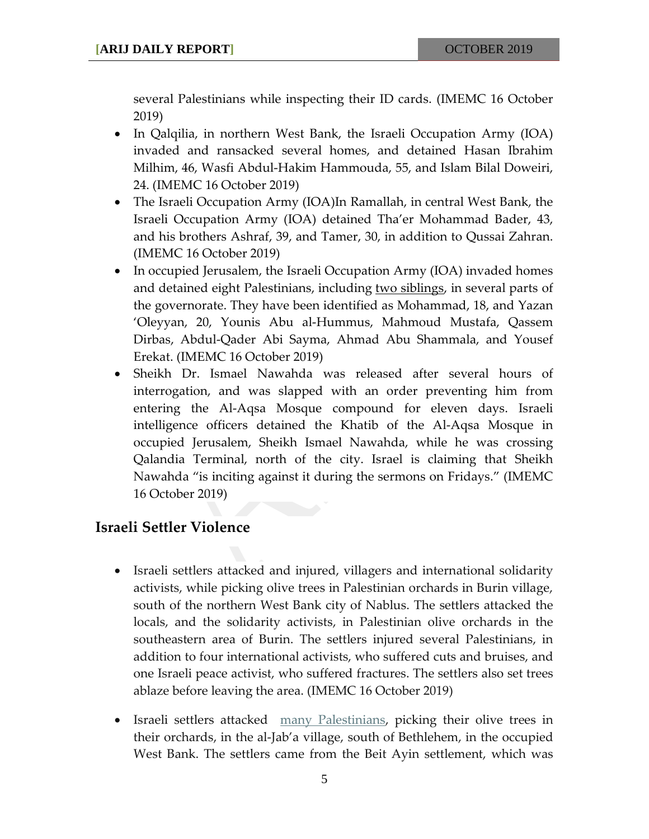several Palestinians while inspecting their ID cards. (IMEMC 16 October 2019)

- In Qalqilia, in northern West Bank, the Israeli Occupation Army (IOA) invaded and ransacked several homes, and detained Hasan Ibrahim Milhim, 46, Wasfi Abdul-Hakim Hammouda, 55, and Islam Bilal Doweiri, 24. (IMEMC 16 October 2019)
- The Israeli Occupation Army (IOA)In Ramallah, in central West Bank, the Israeli Occupation Army (IOA) detained Tha'er Mohammad Bader, 43, and his brothers Ashraf, 39, and Tamer, 30, in addition to Qussai Zahran. (IMEMC 16 October 2019)
- In occupied Jerusalem, the Israeli Occupation Army (IOA) invaded homes and detained eight Palestinians, including <u>two siblings</u>, in several parts of the governorate. They have been identified as Mohammad, 18, and Yazan 'Oleyyan, 20, Younis Abu al-Hummus, Mahmoud Mustafa, Qassem Dirbas, Abdul-Qader Abi Sayma, Ahmad Abu Shammala, and Yousef Erekat. (IMEMC 16 October 2019)
- Sheikh Dr. Ismael Nawahda was released after several hours of interrogation, and was slapped with an order preventing him from entering the Al-Aqsa Mosque compound for eleven days. Israeli intelligence officers detained the Khatib of the Al-Aqsa Mosque in occupied Jerusalem, Sheikh Ismael Nawahda, while he was crossing Qalandia Terminal, north of the city. Israel is claiming that Sheikh Nawahda "is inciting against it during the sermons on Fridays." (IMEMC 16 October 2019)

#### **Israeli Settler Violence**

- Israeli settlers attacked and injured, villagers and international solidarity activists, while picking olive trees in Palestinian orchards in Burin village, south of the northern West Bank city of Nablus. The settlers attacked the locals, and the solidarity activists, in Palestinian olive orchards in the southeastern area of Burin. The settlers injured several Palestinians, in addition to four international activists, who suffered cuts and bruises, and one Israeli peace activist, who suffered fractures. The settlers also set trees ablaze before leaving the area. (IMEMC 16 October 2019)
- Israeli settlers attacked [many Palestinians,](https://imemc.org/article/illegal-colonists-attack-palestinians-picking-their-olive-trees-near-bethlehem/) picking their olive trees in their orchards, in the al-Jab'a village, south of Bethlehem, in the occupied West Bank. The settlers came from the Beit Ayin settlement, which was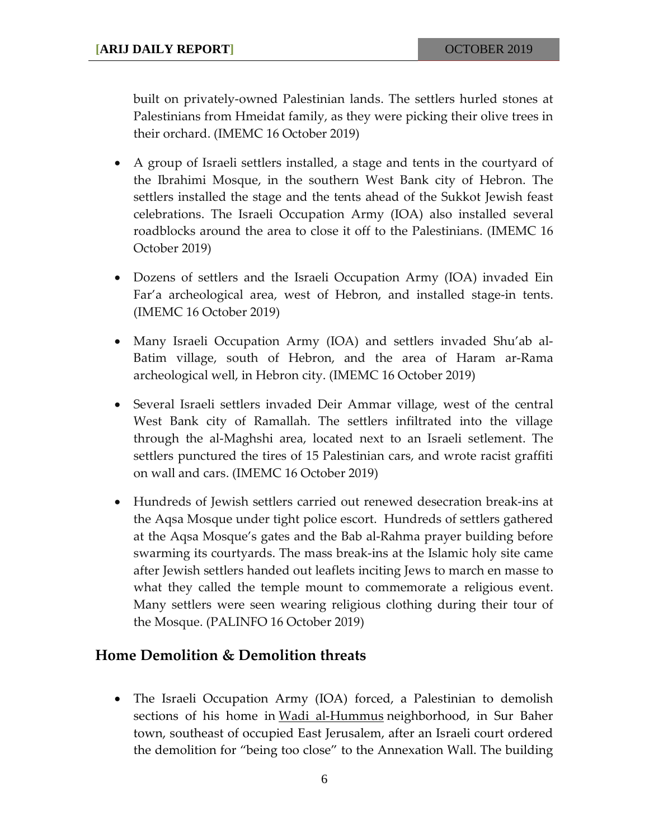built on privately-owned Palestinian lands. The settlers hurled stones at Palestinians from Hmeidat family, as they were picking their olive trees in their orchard. (IMEMC 16 October 2019)

- A group of Israeli settlers installed, a stage and tents in the courtyard of the Ibrahimi Mosque, in the southern West Bank city of Hebron. The settlers installed the stage and the tents ahead of the Sukkot Jewish feast celebrations. The Israeli Occupation Army (IOA) also installed several roadblocks around the area to close it off to the Palestinians. (IMEMC 16 October 2019)
- Dozens of settlers and the Israeli Occupation Army (IOA) invaded Ein Far'a archeological area, west of Hebron, and installed stage-in tents. (IMEMC 16 October 2019)
- Many Israeli Occupation Army (IOA) and settlers invaded Shu'ab al-Batim village, south of Hebron, and the area of Haram ar-Rama archeological well, in Hebron city. (IMEMC 16 October 2019)
- Several Israeli settlers invaded Deir Ammar village, west of the central West Bank city of Ramallah. The settlers infiltrated into the village through the al-Maghshi area, located next to an Israeli setlement. The settlers punctured the tires of 15 Palestinian cars, and wrote racist graffiti on wall and cars. (IMEMC 16 October 2019)
- Hundreds of Jewish settlers carried out renewed desecration break-ins at the Aqsa Mosque under tight police escort. Hundreds of settlers gathered at the Aqsa Mosque's gates and the Bab al-Rahma prayer building before swarming its courtyards. The mass break-ins at the Islamic holy site came after Jewish settlers handed out leaflets inciting Jews to march en masse to what they called the temple mount to commemorate a religious event. Many settlers were seen wearing religious clothing during their tour of the Mosque. (PALINFO 16 October 2019)

#### **Home Demolition & Demolition threats**

• The Israeli Occupation Army (IOA) forced, a Palestinian to demolish sections of his home in [Wadi al-Hummus](https://imemc.org/?s=Wadi+al-Hummus) neighborhood, in Sur Baher town, southeast of occupied East Jerusalem, after an Israeli court ordered the demolition for "being too close" to the Annexation Wall. The building